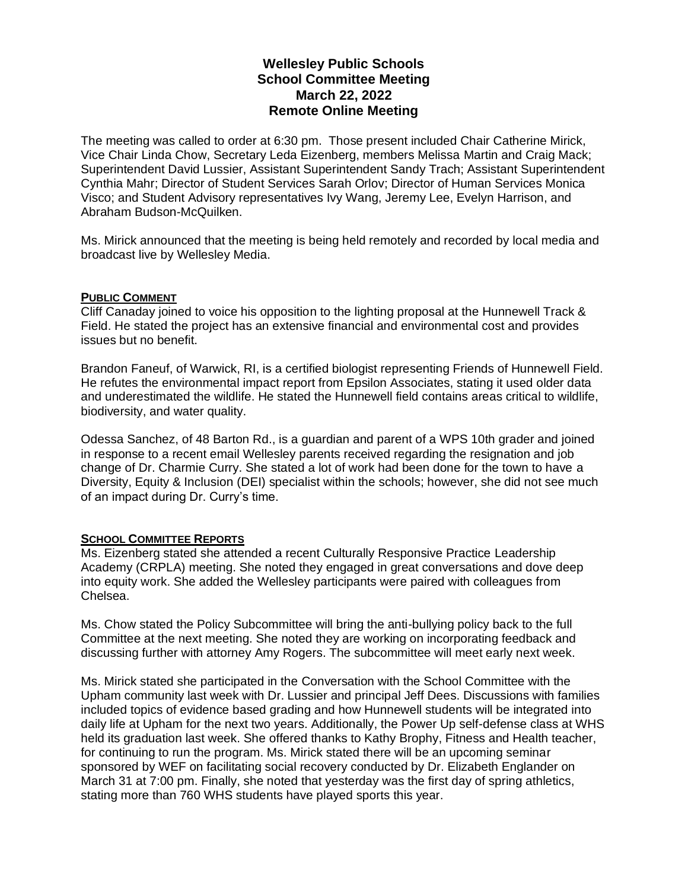## **Wellesley Public Schools School Committee Meeting March 22, 2022 Remote Online Meeting**

The meeting was called to order at 6:30 pm. Those present included Chair Catherine Mirick, Vice Chair Linda Chow, Secretary Leda Eizenberg, members Melissa Martin and Craig Mack; Superintendent David Lussier, Assistant Superintendent Sandy Trach; Assistant Superintendent Cynthia Mahr; Director of Student Services Sarah Orlov; Director of Human Services Monica Visco; and Student Advisory representatives Ivy Wang, Jeremy Lee, Evelyn Harrison, and Abraham Budson-McQuilken.

Ms. Mirick announced that the meeting is being held remotely and recorded by local media and broadcast live by Wellesley Media.

### **PUBLIC COMMENT**

Cliff Canaday joined to voice his opposition to the lighting proposal at the Hunnewell Track & Field. He stated the project has an extensive financial and environmental cost and provides issues but no benefit.

Brandon Faneuf, of Warwick, RI, is a certified biologist representing Friends of Hunnewell Field. He refutes the environmental impact report from Epsilon Associates, stating it used older data and underestimated the wildlife. He stated the Hunnewell field contains areas critical to wildlife, biodiversity, and water quality.

Odessa Sanchez, of 48 Barton Rd., is a guardian and parent of a WPS 10th grader and joined in response to a recent email Wellesley parents received regarding the resignation and job change of Dr. Charmie Curry. She stated a lot of work had been done for the town to have a Diversity, Equity & Inclusion (DEI) specialist within the schools; however, she did not see much of an impact during Dr. Curry's time.

### **SCHOOL COMMITTEE REPORTS**

Ms. Eizenberg stated she attended a recent Culturally Responsive Practice Leadership Academy (CRPLA) meeting. She noted they engaged in great conversations and dove deep into equity work. She added the Wellesley participants were paired with colleagues from Chelsea.

Ms. Chow stated the Policy Subcommittee will bring the anti-bullying policy back to the full Committee at the next meeting. She noted they are working on incorporating feedback and discussing further with attorney Amy Rogers. The subcommittee will meet early next week.

Ms. Mirick stated she participated in the Conversation with the School Committee with the Upham community last week with Dr. Lussier and principal Jeff Dees. Discussions with families included topics of evidence based grading and how Hunnewell students will be integrated into daily life at Upham for the next two years. Additionally, the Power Up self-defense class at WHS held its graduation last week. She offered thanks to Kathy Brophy, Fitness and Health teacher, for continuing to run the program. Ms. Mirick stated there will be an upcoming seminar sponsored by WEF on facilitating social recovery conducted by Dr. Elizabeth Englander on March 31 at 7:00 pm. Finally, she noted that yesterday was the first day of spring athletics, stating more than 760 WHS students have played sports this year.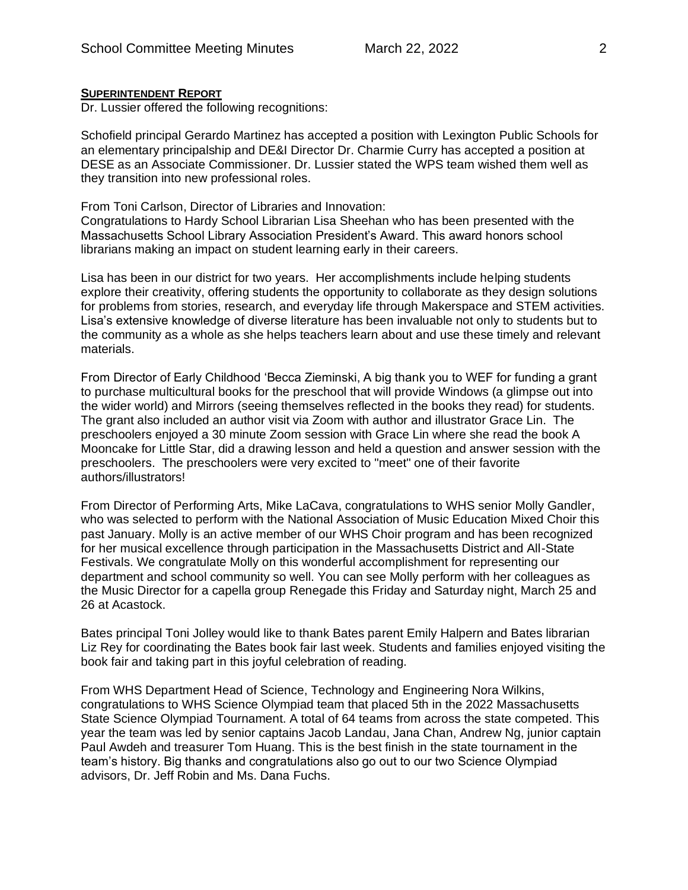#### **SUPERINTENDENT REPORT**

Dr. Lussier offered the following recognitions:

Schofield principal Gerardo Martinez has accepted a position with Lexington Public Schools for an elementary principalship and DE&I Director Dr. Charmie Curry has accepted a position at DESE as an Associate Commissioner. Dr. Lussier stated the WPS team wished them well as they transition into new professional roles.

From Toni Carlson, Director of Libraries and Innovation:

Congratulations to Hardy School Librarian Lisa Sheehan who has been presented with the Massachusetts School Library Association President's Award. This award honors school librarians making an impact on student learning early in their careers.

Lisa has been in our district for two years. Her accomplishments include helping students explore their creativity, offering students the opportunity to collaborate as they design solutions for problems from stories, research, and everyday life through Makerspace and STEM activities. Lisa's extensive knowledge of diverse literature has been invaluable not only to students but to the community as a whole as she helps teachers learn about and use these timely and relevant materials.

From Director of Early Childhood 'Becca Zieminski, A big thank you to WEF for funding a grant to purchase multicultural books for the preschool that will provide Windows (a glimpse out into the wider world) and Mirrors (seeing themselves reflected in the books they read) for students. The grant also included an author visit via Zoom with author and illustrator Grace Lin. The preschoolers enjoyed a 30 minute Zoom session with Grace Lin where she read the book A Mooncake for Little Star, did a drawing lesson and held a question and answer session with the preschoolers. The preschoolers were very excited to "meet" one of their favorite authors/illustrators!

From Director of Performing Arts, Mike LaCava, congratulations to WHS senior Molly Gandler, who was selected to perform with the National Association of Music Education Mixed Choir this past January. Molly is an active member of our WHS Choir program and has been recognized for her musical excellence through participation in the Massachusetts District and All-State Festivals. We congratulate Molly on this wonderful accomplishment for representing our department and school community so well. You can see Molly perform with her colleagues as the Music Director for a capella group Renegade this Friday and Saturday night, March 25 and 26 at Acastock.

Bates principal Toni Jolley would like to thank Bates parent Emily Halpern and Bates librarian Liz Rey for coordinating the Bates book fair last week. Students and families enjoyed visiting the book fair and taking part in this joyful celebration of reading.

From WHS Department Head of Science, Technology and Engineering Nora Wilkins, congratulations to WHS Science Olympiad team that placed 5th in the 2022 Massachusetts State Science Olympiad Tournament. A total of 64 teams from across the state competed. This year the team was led by senior captains Jacob Landau, Jana Chan, Andrew Ng, junior captain Paul Awdeh and treasurer Tom Huang. This is the best finish in the state tournament in the team's history. Big thanks and congratulations also go out to our two Science Olympiad advisors, Dr. Jeff Robin and Ms. Dana Fuchs.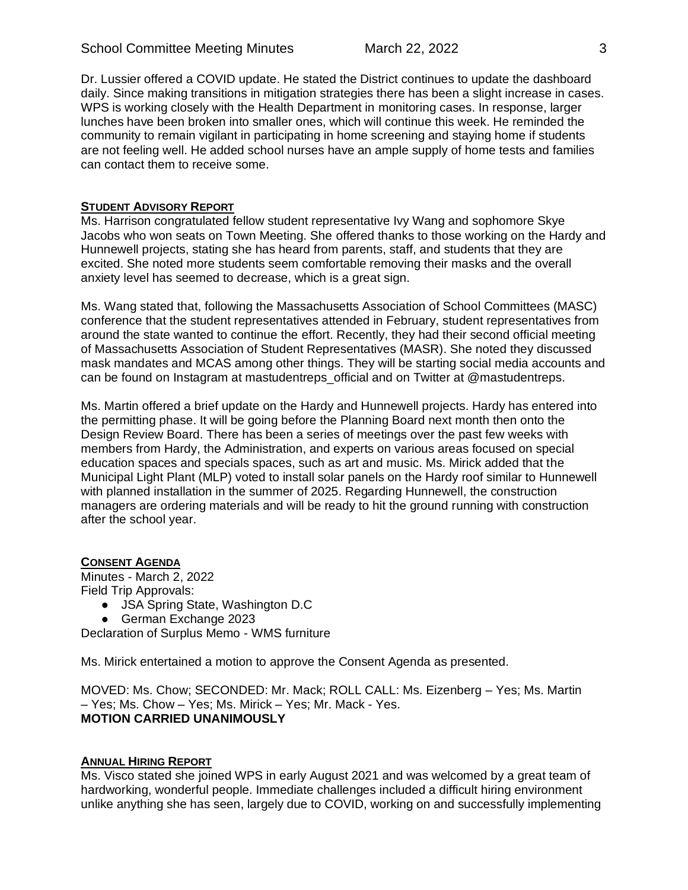Dr. Lussier offered a COVID update. He stated the District continues to update the dashboard daily. Since making transitions in mitigation strategies there has been a slight increase in cases. WPS is working closely with the Health Department in monitoring cases. In response, larger lunches have been broken into smaller ones, which will continue this week. He reminded the community to remain vigilant in participating in home screening and staying home if students are not feeling well. He added school nurses have an ample supply of home tests and families can contact them to receive some.

### **STUDENT ADVISORY REPORT**

Ms. Harrison congratulated fellow student representative Ivy Wang and sophomore Skye Jacobs who won seats on Town Meeting. She offered thanks to those working on the Hardy and Hunnewell projects, stating she has heard from parents, staff, and students that they are excited. She noted more students seem comfortable removing their masks and the overall anxiety level has seemed to decrease, which is a great sign.

Ms. Wang stated that, following the Massachusetts Association of School Committees (MASC) conference that the student representatives attended in February, student representatives from around the state wanted to continue the effort. Recently, they had their second official meeting of Massachusetts Association of Student Representatives (MASR). She noted they discussed mask mandates and MCAS among other things. They will be starting social media accounts and can be found on Instagram at mastudentreps\_official and on Twitter at @mastudentreps.

Ms. Martin offered a brief update on the Hardy and Hunnewell projects. Hardy has entered into the permitting phase. It will be going before the Planning Board next month then onto the Design Review Board. There has been a series of meetings over the past few weeks with members from Hardy, the Administration, and experts on various areas focused on special education spaces and specials spaces, such as art and music. Ms. Mirick added that the Municipal Light Plant (MLP) voted to install solar panels on the Hardy roof similar to Hunnewell with planned installation in the summer of 2025. Regarding Hunnewell, the construction managers are ordering materials and will be ready to hit the ground running with construction after the school year.

## **CONSENT AGENDA**

Minutes - March 2, 2022 Field Trip Approvals:

- JSA Spring State, Washington D.C
- German Exchange 2023

Declaration of Surplus Memo - WMS furniture

Ms. Mirick entertained a motion to approve the Consent Agenda as presented.

MOVED: Ms. Chow; SECONDED: Mr. Mack; ROLL CALL: Ms. Eizenberg – Yes; Ms. Martin – Yes; Ms. Chow – Yes; Ms. Mirick – Yes; Mr. Mack - Yes. **MOTION CARRIED UNANIMOUSLY**

### **ANNUAL HIRING REPORT**

Ms. Visco stated she joined WPS in early August 2021 and was welcomed by a great team of hardworking, wonderful people. Immediate challenges included a difficult hiring environment unlike anything she has seen, largely due to COVID, working on and successfully implementing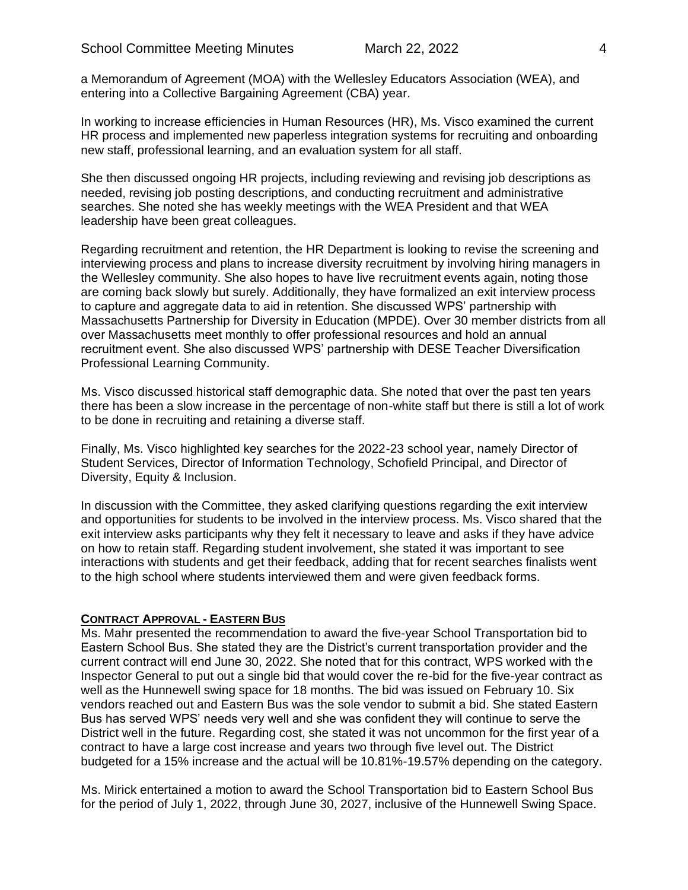a Memorandum of Agreement (MOA) with the Wellesley Educators Association (WEA), and entering into a Collective Bargaining Agreement (CBA) year.

In working to increase efficiencies in Human Resources (HR), Ms. Visco examined the current HR process and implemented new paperless integration systems for recruiting and onboarding new staff, professional learning, and an evaluation system for all staff.

She then discussed ongoing HR projects, including reviewing and revising job descriptions as needed, revising job posting descriptions, and conducting recruitment and administrative searches. She noted she has weekly meetings with the WEA President and that WEA leadership have been great colleagues.

Regarding recruitment and retention, the HR Department is looking to revise the screening and interviewing process and plans to increase diversity recruitment by involving hiring managers in the Wellesley community. She also hopes to have live recruitment events again, noting those are coming back slowly but surely. Additionally, they have formalized an exit interview process to capture and aggregate data to aid in retention. She discussed WPS' partnership with Massachusetts Partnership for Diversity in Education (MPDE). Over 30 member districts from all over Massachusetts meet monthly to offer professional resources and hold an annual recruitment event. She also discussed WPS' partnership with DESE Teacher Diversification Professional Learning Community.

Ms. Visco discussed historical staff demographic data. She noted that over the past ten years there has been a slow increase in the percentage of non-white staff but there is still a lot of work to be done in recruiting and retaining a diverse staff.

Finally, Ms. Visco highlighted key searches for the 2022-23 school year, namely Director of Student Services, Director of Information Technology, Schofield Principal, and Director of Diversity, Equity & Inclusion.

In discussion with the Committee, they asked clarifying questions regarding the exit interview and opportunities for students to be involved in the interview process. Ms. Visco shared that the exit interview asks participants why they felt it necessary to leave and asks if they have advice on how to retain staff. Regarding student involvement, she stated it was important to see interactions with students and get their feedback, adding that for recent searches finalists went to the high school where students interviewed them and were given feedback forms.

### **CONTRACT APPROVAL - EASTERN BUS**

Ms. Mahr presented the recommendation to award the five-year School Transportation bid to Eastern School Bus. She stated they are the District's current transportation provider and the current contract will end June 30, 2022. She noted that for this contract, WPS worked with the Inspector General to put out a single bid that would cover the re-bid for the five-year contract as well as the Hunnewell swing space for 18 months. The bid was issued on February 10. Six vendors reached out and Eastern Bus was the sole vendor to submit a bid. She stated Eastern Bus has served WPS' needs very well and she was confident they will continue to serve the District well in the future. Regarding cost, she stated it was not uncommon for the first year of a contract to have a large cost increase and years two through five level out. The District budgeted for a 15% increase and the actual will be 10.81%-19.57% depending on the category.

Ms. Mirick entertained a motion to award the School Transportation bid to Eastern School Bus for the period of July 1, 2022, through June 30, 2027, inclusive of the Hunnewell Swing Space.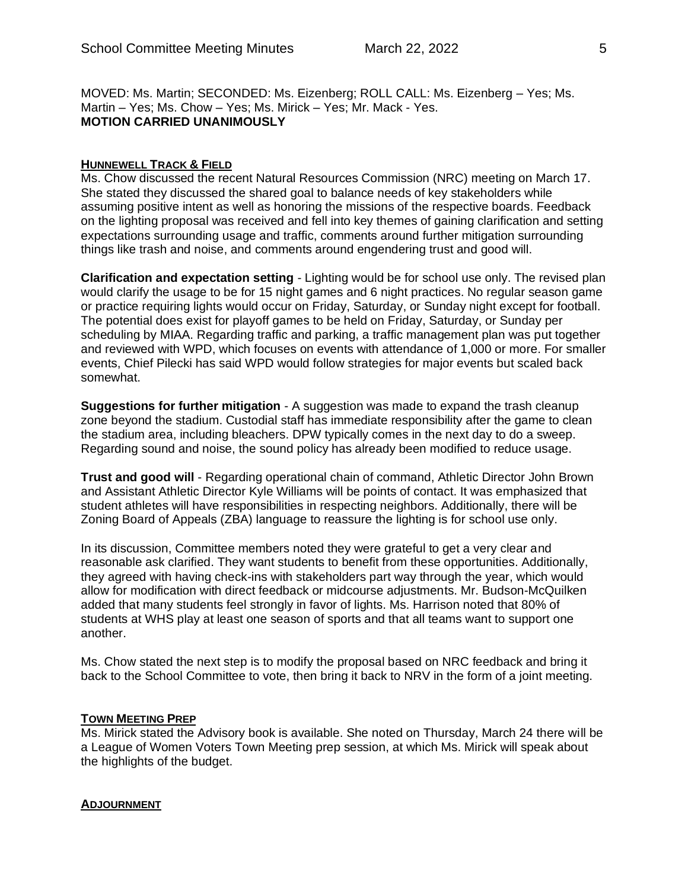MOVED: Ms. Martin; SECONDED: Ms. Eizenberg; ROLL CALL: Ms. Eizenberg – Yes; Ms. Martin – Yes; Ms. Chow – Yes; Ms. Mirick – Yes; Mr. Mack - Yes. **MOTION CARRIED UNANIMOUSLY**

#### **HUNNEWELL TRACK & FIELD**

Ms. Chow discussed the recent Natural Resources Commission (NRC) meeting on March 17. She stated they discussed the shared goal to balance needs of key stakeholders while assuming positive intent as well as honoring the missions of the respective boards. Feedback on the lighting proposal was received and fell into key themes of gaining clarification and setting expectations surrounding usage and traffic, comments around further mitigation surrounding things like trash and noise, and comments around engendering trust and good will.

**Clarification and expectation setting** - Lighting would be for school use only. The revised plan would clarify the usage to be for 15 night games and 6 night practices. No regular season game or practice requiring lights would occur on Friday, Saturday, or Sunday night except for football. The potential does exist for playoff games to be held on Friday, Saturday, or Sunday per scheduling by MIAA. Regarding traffic and parking, a traffic management plan was put together and reviewed with WPD, which focuses on events with attendance of 1,000 or more. For smaller events, Chief Pilecki has said WPD would follow strategies for major events but scaled back somewhat.

**Suggestions for further mitigation** - A suggestion was made to expand the trash cleanup zone beyond the stadium. Custodial staff has immediate responsibility after the game to clean the stadium area, including bleachers. DPW typically comes in the next day to do a sweep. Regarding sound and noise, the sound policy has already been modified to reduce usage.

**Trust and good will** - Regarding operational chain of command, Athletic Director John Brown and Assistant Athletic Director Kyle Williams will be points of contact. It was emphasized that student athletes will have responsibilities in respecting neighbors. Additionally, there will be Zoning Board of Appeals (ZBA) language to reassure the lighting is for school use only.

In its discussion, Committee members noted they were grateful to get a very clear and reasonable ask clarified. They want students to benefit from these opportunities. Additionally, they agreed with having check-ins with stakeholders part way through the year, which would allow for modification with direct feedback or midcourse adjustments. Mr. Budson-McQuilken added that many students feel strongly in favor of lights. Ms. Harrison noted that 80% of students at WHS play at least one season of sports and that all teams want to support one another.

Ms. Chow stated the next step is to modify the proposal based on NRC feedback and bring it back to the School Committee to vote, then bring it back to NRV in the form of a joint meeting.

### **TOWN MEETING PREP**

Ms. Mirick stated the Advisory book is available. She noted on Thursday, March 24 there will be a League of Women Voters Town Meeting prep session, at which Ms. Mirick will speak about the highlights of the budget.

#### **ADJOURNMENT**